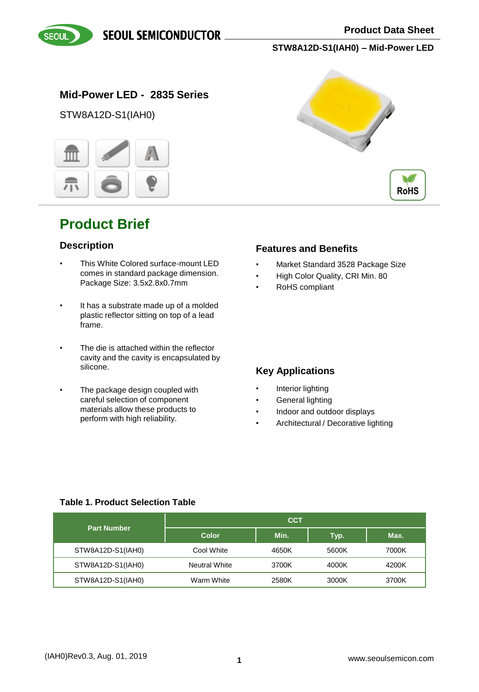**SEOUL SEMICONDUCTOR** 



**STW8A12D-S1(IAH0) – Mid-Power LED**

### **Mid-Power LED - 2835 Series**

STW8A12D-S1(IAH0)



## **Product Brief**

#### **Description**

- This White Colored surface-mount LED comes in standard package dimension. Package Size: 3.5x2.8x0.7mm
- It has a substrate made up of a molded plastic reflector sitting on top of a lead frame.
- The die is attached within the reflector cavity and the cavity is encapsulated by silicone.
- The package design coupled with careful selection of component materials allow these products to perform with high reliability.





#### **Features and Benefits**

- Market Standard 3528 Package Size
- High Color Quality, CRI Min. 80
- RoHS compliant

### **Key Applications**

- Interior lighting
- General lighting
- Indoor and outdoor displays
- Architectural / Decorative lighting

#### **Table 1. Product Selection Table**

| <b>Part Number</b> |                      | <b>CCT</b> |       |       |
|--------------------|----------------------|------------|-------|-------|
|                    | <b>Color</b>         | Min.       | Typ.  | Max.  |
| STW8A12D-S1(IAH0)  | Cool White           | 4650K      | 5600K | 7000K |
| STW8A12D-S1(IAH0)  | <b>Neutral White</b> | 3700K      | 4000K | 4200K |
| STW8A12D-S1(IAH0)  | Warm White           | 2580K      | 3000K | 3700K |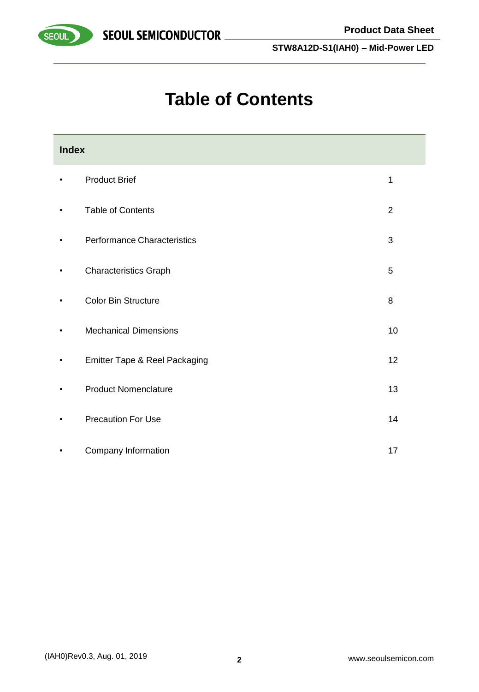



SEOUL

**STW8A12D-S1(IAH0) – Mid-Power LED**

# **Table of Contents**

| <b>Index</b> |                               |                |  |  |  |  |
|--------------|-------------------------------|----------------|--|--|--|--|
| $\bullet$    | <b>Product Brief</b>          | 1              |  |  |  |  |
| $\bullet$    | <b>Table of Contents</b>      | $\overline{2}$ |  |  |  |  |
| $\bullet$    | Performance Characteristics   | $\mathfrak{B}$ |  |  |  |  |
| ٠            | <b>Characteristics Graph</b>  | 5              |  |  |  |  |
|              | <b>Color Bin Structure</b>    | 8              |  |  |  |  |
| ٠            | <b>Mechanical Dimensions</b>  | 10             |  |  |  |  |
| $\bullet$    | Emitter Tape & Reel Packaging | 12             |  |  |  |  |
|              | <b>Product Nomenclature</b>   | 13             |  |  |  |  |
|              | <b>Precaution For Use</b>     | 14             |  |  |  |  |
|              | Company Information           | 17             |  |  |  |  |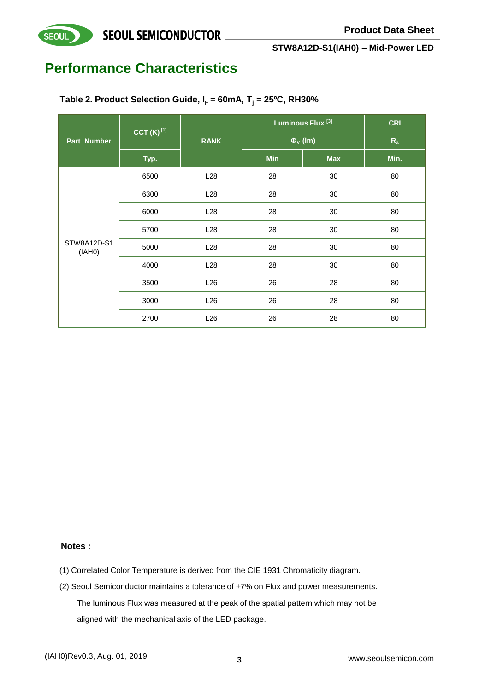

## **Performance Characteristics**

**SEOUL** 

|                       | CCT $(K)^{[1]}$ |                 | Luminous Flux <sup>[3]</sup> | <b>CRI</b>               |         |
|-----------------------|-----------------|-----------------|------------------------------|--------------------------|---------|
| <b>Part Number</b>    |                 | <b>RANK</b>     |                              | $\Phi$ <sub>V</sub> (Im) | $R_{a}$ |
|                       | Typ.            |                 | Min                          | <b>Max</b>               | Min.    |
|                       | 6500            | L28             | 28                           | 30                       | 80      |
| STW8A12D-S1<br>(IAH0) | 6300            | L28             | 28                           | 30                       | 80      |
|                       | 6000            | L28             | 28                           | 30                       | 80      |
|                       | 5700            | L28             | 28                           | 30                       | 80      |
|                       | 5000            | L <sub>28</sub> | 28                           | 30                       | 80      |
|                       | 4000            | L28             | 28                           | 30                       | 80      |
|                       | 3500            | L26             | 26                           | 28                       | 80      |
|                       | 3000            | L26             | 26                           | 28                       | 80      |
|                       | 2700            | L26             | 26                           | 28                       | 80      |

**Table 2. Product Selection Guide, I<sup>F</sup> = 60mA, T<sup>j</sup> = 25ºC, RH30%**

#### **Notes :**

- (1) Correlated Color Temperature is derived from the CIE 1931 Chromaticity diagram.
- (2) Seoul Semiconductor maintains a tolerance of  $\pm 7\%$  on Flux and power measurements. The luminous Flux was measured at the peak of the spatial pattern which may not be aligned with the mechanical axis of the LED package.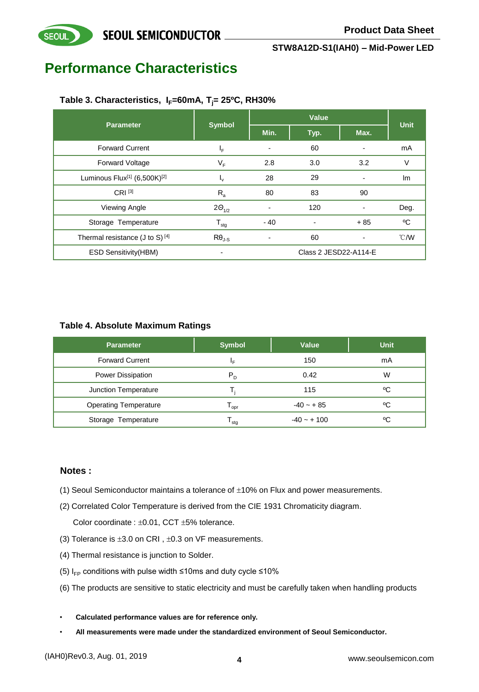## **Performance Characteristics**

**SEOUL** 

#### **Table 3. Characteristics, IF=60mA, Tj= 25ºC, RH30%**

| <b>Parameter</b>                                     | <b>Symbol</b>       |                              | Value          | <b>Unit</b>              |                |
|------------------------------------------------------|---------------------|------------------------------|----------------|--------------------------|----------------|
|                                                      |                     | Min.                         | Typ.           | Max.                     |                |
| <b>Forward Current</b>                               | ΙF                  |                              | 60             |                          | mA             |
| <b>Forward Voltage</b>                               | $V_F$               | 2.8                          | 3.0            | 3.2                      | V              |
| Luminous Flux <sup>[1]</sup> (6,500K) <sup>[2]</sup> | $I_{\rm V}$         | 28                           | 29             | $\blacksquare$           | Im             |
| $CRI^{[3]}$                                          | $R_{a}$             | 80                           | 83             | 90                       |                |
| Viewing Angle                                        | $2\Theta_{1/2}$     |                              | 120            |                          | Deg.           |
| Storage Temperature                                  | ${\sf T}_{\sf stg}$ | $-40$                        | $\blacksquare$ | $+85$                    | °C             |
| Thermal resistance (J to S) [4]                      | $R\theta_{J-S}$     | $\qquad \qquad \blacksquare$ | 60             | $\overline{\phantom{a}}$ | $^{\circ}$ C/W |
| <b>ESD Sensitivity (HBM)</b>                         |                     | Class 2 JESD22-A114-E        |                |                          |                |

#### **Table 4. Absolute Maximum Ratings**

| <b>Parameter</b>             | <b>Symbol</b>    | <b>Value</b>  | <b>Unit</b> |
|------------------------------|------------------|---------------|-------------|
| <b>Forward Current</b>       | ΙF               | 150           | mA          |
| <b>Power Dissipation</b>     | $P_D$            | 0.42          | W           |
| Junction Temperature         |                  | 115           | °C          |
| <b>Operating Temperature</b> | l <sub>opr</sub> | $-40 - + 85$  | °C          |
| Storage Temperature          | l <sub>stq</sub> | $-40 - + 100$ | °C          |

#### **Notes :**

- (1) Seoul Semiconductor maintains a tolerance of  $\pm 10\%$  on Flux and power measurements.
- (2) Correlated Color Temperature is derived from the CIE 1931 Chromaticity diagram.

Color coordinate :  $\pm 0.01$ , CCT  $\pm 5%$  tolerance.

- (3) Tolerance is  $\pm 3.0$  on CRI,  $\pm 0.3$  on VF measurements.
- (4) Thermal resistance is junction to Solder.
- (5)  $I_{FP}$  conditions with pulse width ≤10ms and duty cycle ≤10%
- (6) The products are sensitive to static electricity and must be carefully taken when handling products
- **Calculated performance values are for reference only.**
- **All measurements were made under the standardized environment of Seoul Semiconductor.**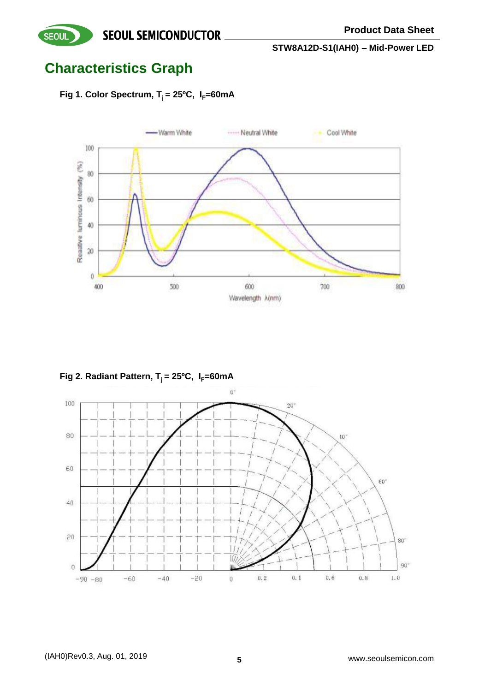## **Characteristics Graph**

**SEOUL** 

Fig 1. Color Spectrum,  $T_i = 25^{\circ}C$ ,  $I_F = 60$ mA



Fig 2. Radiant Pattern, T<sub>i</sub> = 25°C, I<sub>F</sub>=60mA

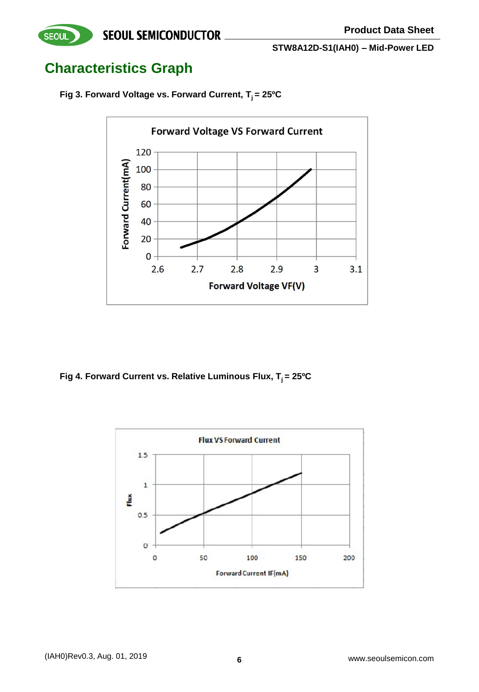

## **Characteristics Graph**

**Fig 3. Forward Voltage vs. Forward Current, T<sup>j</sup> = 25ºC**



**Fig 4. Forward Current vs. Relative Luminous Flux, T<sup>j</sup> = 25ºC**

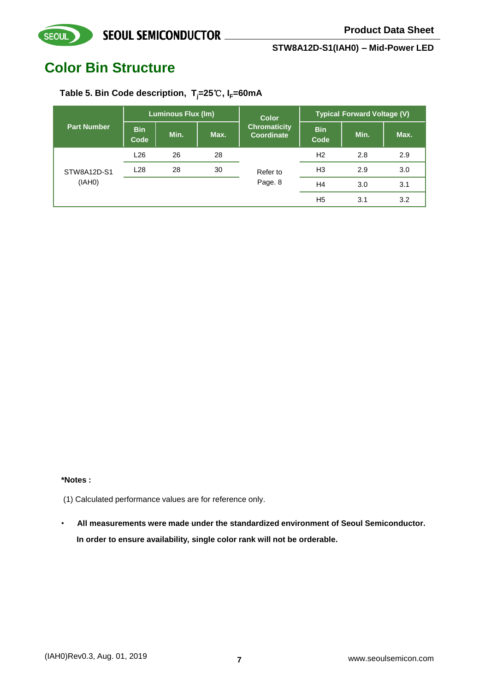## **Color Bin Structure**

**SEOUL** 

### **Table 5. Bin Code description, Tj=25**℃**, IF=60mA**

|                       | <b>Luminous Flux (Im)</b> |      |      | <b>Color</b>                      | <b>Typical Forward Voltage (V)</b> |      |      |  |
|-----------------------|---------------------------|------|------|-----------------------------------|------------------------------------|------|------|--|
| <b>Part Number</b>    | <b>Bin</b><br>Code        | Min. | Max. | <b>Chromaticity</b><br>Coordinate | <b>Bin</b><br>Code                 | Min. | Max. |  |
| STW8A12D-S1<br>(IAHO) | L <sub>26</sub>           | 26   | 28   | Refer to                          | H2                                 | 2.8  | 2.9  |  |
|                       | L <sub>28</sub>           | 28   | 30   |                                   | H <sub>3</sub>                     | 2.9  | 3.0  |  |
|                       |                           |      |      | Page. 8                           | H <sub>4</sub>                     | 3.0  | 3.1  |  |
|                       |                           |      |      |                                   | H <sub>5</sub>                     | 3.1  | 3.2  |  |

#### **\*Notes :**

- (1) Calculated performance values are for reference only.
- **All measurements were made under the standardized environment of Seoul Semiconductor. In order to ensure availability, single color rank will not be orderable.**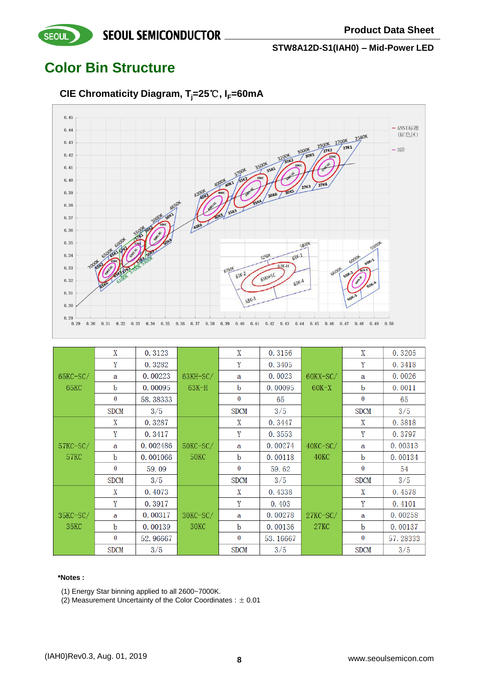## **Color Bin Structure**

**SEOUL** 

**CIE Chromaticity Diagram, Tj=25**℃**, IF=60mA**



|                    | X           | 0.3123   |                  | X           | 0.3156   |                | X           | 0.3205   |
|--------------------|-------------|----------|------------------|-------------|----------|----------------|-------------|----------|
|                    | Y           | 0.3282   |                  | Y           | 0.3405   |                | Y           | 0.3418   |
| $65$ KC $-S$ C $/$ | a           | 0.00223  | $63KH-SC/$       | a           | 0.0023   | 60KX-SC/       | a           | 0.0026   |
| 65KC               | b           | 0.00095  | 63K-H            | b           | 0.00095  | $60K-X$        | b           | 0.0011   |
|                    | $\theta$    | 58.38333 |                  | $\theta$    | 65       |                | $\theta$    | 65       |
|                    | <b>SDCM</b> | 3/5      |                  | <b>SDCM</b> | 3/5      |                | <b>SDCM</b> | 3/5      |
|                    | X           | 0.3287   |                  | X           | 0.3447   |                | X           | 0.3818   |
|                    | Y           | 0.3417   |                  | Y           | 0.3553   |                | Y           | 0.3797   |
| $57$ KC $-S$ C $/$ | a           | 0.002486 | $50$ KC $-SC/$   | a           | 0.00274  | $40$ KC $-SC/$ | a           | 0.00313  |
| 57KC               | b           | 0.001066 | <b>50KC</b>      | b           | 0.00118  | 40KC           | b           | 0.00134  |
|                    | $\theta$    | 59.09    |                  | $\theta$    | 59.62    |                | $\theta$    | 54       |
|                    | <b>SDCM</b> | 3/5      |                  | <b>SDCM</b> | 3/5      |                | <b>SDCM</b> | 3/5      |
|                    | X           | 0.4073   |                  | X           | 0.4338   |                | X           | 0.4578   |
|                    | Y           | 0.3917   |                  | Y           | 0.403    |                | Y           | 0.4101   |
| $35KC-SC/$         | a           | 0.00317  | 30KC-SC/         | $\mathbf a$ | 0.00278  | $27KC-SC/$     | a           | 0.00258  |
| 35 <sub>KC</sub>   | $\mathbf b$ | 0.00139  | 30 <sub>KC</sub> | b           | 0.00136  | <b>27KC</b>    | b           | 0.00137  |
|                    | $\theta$    | 52.96667 |                  | $\theta$    | 53.16667 |                | $\theta$    | 57.28333 |
|                    | <b>SDCM</b> | 3/5      |                  | <b>SDCM</b> | 3/5      |                | <b>SDCM</b> | 3/5      |

#### **\*Notes :**

(1) Energy Star binning applied to all 2600~7000K.

(2) Measurement Uncertainty of the Color Coordinates :  $\pm$  0.01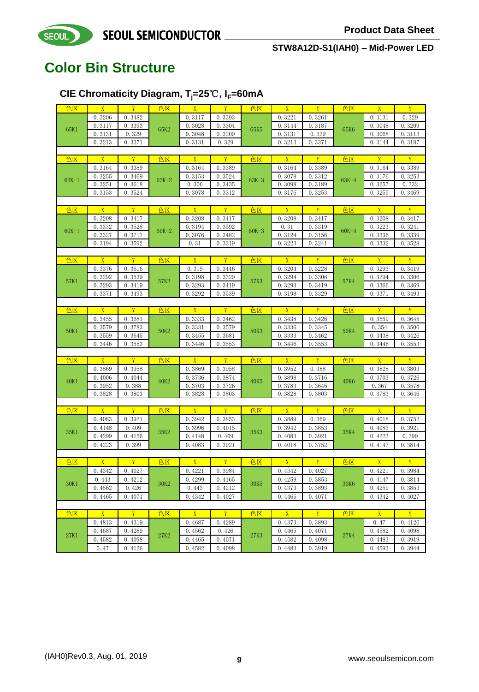## **Color Bin Structure**

SEOUL

### **CIE Chromaticity Diagram, Tj=25**℃**, IF=60mA**

| 色区      | $\overline{X}$ | Y                | 色区                       | $\overline{X}$   | Y                | 色区                              | X                | Y                | 色区          | X                | Y                |
|---------|----------------|------------------|--------------------------|------------------|------------------|---------------------------------|------------------|------------------|-------------|------------------|------------------|
|         | 0.3206         | 0.3482           |                          | 0.3117           | 0.3393           |                                 | 0.3221           | 0.3261           |             | 0.3131           | 0.329            |
|         | 0.3117         | 0.3393           |                          | 0.3028           | 0.3304           |                                 | 0.3144           | 0.3187           |             | 0.3048           | 0.3209           |
| 65K1    | 0.3131         | 0.329            | 65K2                     | 0.3048           | 0.3209           | 65K5                            | 0.3131           | 0.329            | 65K6        | 0.3068           |                  |
|         |                |                  |                          |                  |                  |                                 |                  |                  |             |                  | 0.3113           |
|         | 0.3213         | 0.3371           |                          | 0.3131           | 0.329            |                                 | 0.3213           | 0.3371           |             | 0.3144           | 0.3187           |
|         |                |                  |                          |                  |                  |                                 |                  |                  |             |                  |                  |
| 色区      | X              | Y                | 色区                       | X                | Y                | 色区                              | $\overline{X}$   | Y                | 色区          | $\overline{X}$   | Y                |
|         | 0.3164         | 0.3389           |                          | 0.3164           | 0.3389           |                                 | 0.3164           | 0.3389           |             | 0.3164           | 0.3389           |
| $63K-1$ | 0.3255         | 0.3469           | $63K-2$                  | 0.3153           | 0.3524           | $63K-3$                         | 0.3078           | 0.3312           | $63K-4$     | 0.3176           | 0.3253           |
|         | 0.3251         | 0.3618           |                          | 0.306            | 0.3435           |                                 | 0.3098           | 0.3189           |             | 0.3257           | 0.332            |
|         | 0.3153         | 0.3524           |                          | 0.3078           | 0.3312           |                                 | 0.3176           | 0.3253           |             | 0.3255           | 0.3469           |
|         |                |                  |                          |                  |                  |                                 |                  |                  |             |                  |                  |
| 色区      | X              | Y                | 色区                       | $\overline{X}$   | Y                | 色区                              | X                | Y                | 色区          | $\overline{X}$   | Y                |
|         | 0.3208         | 0.3417           |                          | 0.3208           | 0.3417           |                                 | 0.3208           | 0.3417           |             | 0.3208           | 0.3417           |
|         | 0.3332         | 0.3528           |                          | 0.3194           | 0.3592           |                                 | 0.31             | 0.3319           |             | 0.3223           | 0.3241           |
| $60K-1$ | 0.3327         | 0.3717           | $60K-2$                  | 0.3076           | 0.3482           | $60K - 3$                       | 0.3124           | 0.3156           | $60K-4$     |                  | 0.3339           |
|         |                |                  |                          |                  |                  |                                 |                  |                  |             | 0.3336           |                  |
|         | 0.3194         | 0.3592           |                          | 0.31             | 0.3319           |                                 | 0.3223           | 0.3241           |             | 0.3332           | 0.3528           |
|         |                |                  |                          |                  |                  |                                 |                  |                  |             |                  |                  |
| 色区      | $\overline{X}$ | Y                | 色区                       | X                | Y                | 色区                              | X                | Y                | 色区          | $\overline{X}$   | Y                |
|         | 0.3376         | 0.3616           |                          | 0.319            | 0.3446           |                                 | 0.3204           | 0.3228           |             | 0.3293           | 0.3419           |
| 57K1    | 0.3292         | 0.3539           | 57K2                     | 0.3198           | 0.3329           | 57K3                            | 0.3294           | 0.3306           | <b>57K4</b> | 0.3294           | 0.3306           |
|         | 0.3293         | 0.3419           |                          | 0.3293           | 0.3419           |                                 | 0.3293           | 0.3419           |             | 0.3366           | 0.3369           |
|         | 0.3371         | 0.3493           |                          | 0.3292           | 0.3539           | 0.3198                          |                  | 0.3329           |             | 0.3371           | 0.3493           |
|         |                |                  |                          |                  |                  |                                 |                  |                  |             |                  |                  |
| 色区      | $\overline{X}$ | Y                | 色区                       | $\overline{X}$   | Y                | 色区                              | X                | Y                | 色区          | $\overline{X}$   | Y                |
|         | 0.3455         | 0.3681           |                          | 0.3333           | 0.3462           |                                 | 0.3438           | 0.3426           |             | 0.3559           | 0.3645           |
|         | 0.3579         | 0.3783           | 0.3331<br>50K2<br>0.3455 |                  | 0.3579           |                                 | 0.3336           | 0.3345           |             | 0.354            | 0.3506           |
| 50K1    | 0.3559         | 0.3645           |                          | 0.3681           | 50K3             | <b>50K4</b><br>0.3333<br>0.3462 | 0.3438           | 0.3426           |             |                  |                  |
|         | 0.3446         | 0.3553           |                          | 0.3446           | 0.3553           |                                 | 0.3446           | 0.3553           |             | 0.3446           | 0.3553           |
|         |                |                  |                          |                  |                  |                                 |                  |                  |             |                  |                  |
|         | X              | Y                | 色区                       | X                | Y                | 色区                              | X                | Y                | 色区          | $\overline{X}$   | $\overline{Y}$   |
| 色区      |                |                  |                          |                  |                  |                                 |                  |                  |             |                  |                  |
|         | 0.3869         | 0.3958           |                          | 0.3869           | 0.3958           |                                 | 0.3952           | 0.388            |             | 0.3828           | 0.3803           |
| 40K1    | 0.4006         | 0.4044           | 40K2                     | 0.3736           | 0.3874           | 40K5                            | 0.3898           | 0.3716           | <b>40K6</b> | 0.3703           | 0.3726           |
|         | 0.3952         | 0.388            |                          | 0.3703           | 0.3726           |                                 | 0.3783           | 0.3646           |             | 0.367            | 0.3578           |
|         | 0.3828         | 0.3803           |                          | 0.3828           | 0.3803           |                                 | 0.3828           | 0.3803           |             | 0.3783           | 0.3646           |
|         |                |                  |                          |                  |                  |                                 |                  |                  |             |                  |                  |
| 色区      | $\overline{X}$ | Y                | 色区                       | X                | Y                | 色区                              | $\overline{X}$   | Y                | 色区          | $\overline{X}$   | Y                |
|         | 0.4083         | 0.3921           |                          | 0.3942           | 0.3853           |                                 | 0.3889           | 0.369            |             | 0.4018           | 0.3752           |
|         | 0.4148         | 0.409            |                          | 0.3996           | 0.4015           |                                 | 0.3942           | 0.3853           |             | 0.4083           | 0.3921           |
| 35K1    | 0.4299         | 0.4156           | 35K2                     | 0.4148           | 0.409            | 35K3                            | 0.4083           | 0.3921           | 35K4        | 0.4223           | 0.399            |
|         | 0.4223         | 0.399            |                          | 0.4083           | 0.3921           |                                 | 0.4018           | 0.3752           |             | 0.4147           | 0.3814           |
|         |                |                  |                          |                  |                  |                                 |                  |                  |             |                  |                  |
| 色区      | $\overline{X}$ | Y                | 色区                       | $\overline{X}$   | Y                | 色区                              | X                | Y                | 色区          | $\overline{X}$   | Y                |
|         |                |                  |                          |                  |                  |                                 |                  |                  |             |                  |                  |
|         | 0.4342         | 0.4027           |                          | 0.4221           | 0.3984           |                                 | 0.4342           | 0.4027           |             | 0.4221           | 0.3984           |
| 30K1    | 0.443          | 0.4212           | 30K2                     | 0.4299           | 0.4165           | 30K5                            | 0.4259           | 0.3853           | 30K6        | 0.4147           | 0.3814           |
|         | 0.4562         | 0.426            |                          | 0.443            | 0.4212           |                                 | 0.4373           | 0.3893           |             | 0.4259           | 0.3853           |
|         | 0.4465         | 0.4071           |                          | 0.4342           | 0.4027           |                                 | 0.4465           | 0.4071           |             | 0.4342           | 0.4027           |
|         |                |                  |                          |                  |                  |                                 |                  |                  |             |                  |                  |
| 色区      | $\overline{X}$ | Y                | 色区                       | X                | Y                | 色区                              | X                | Y                | 色区          | X                | Y                |
|         | 0.4813         | 0.4319           |                          | 0.4687           | 0.4289           |                                 | 0.4373           | 0.3893           |             | 0.47             | 0.4126           |
|         |                |                  |                          |                  |                  |                                 |                  |                  |             |                  |                  |
|         |                |                  |                          |                  |                  |                                 |                  |                  |             |                  |                  |
| 27K1    | 0.4687         | 0.4289           | 27K2                     | 0.4562           | 0.426            | 27K3                            | 0.4465           | 0.4071           | <b>27K4</b> | 0.4582           | 0.4098           |
|         | 0.4582<br>0.47 | 0.4098<br>0.4126 |                          | 0.4465<br>0.4582 | 0.4071<br>0.4098 |                                 | 0.4582<br>0.4483 | 0.4098<br>0.3919 |             | 0.4483<br>0.4593 | 0.3919<br>0.3944 |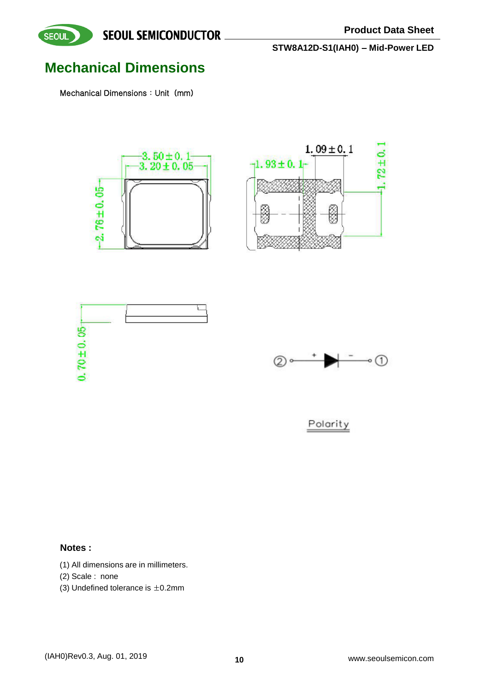

## **Mechanical Dimensions**

SEOUL

Mechanical Dimensions: Unit (mm)









Polarity

#### **Notes :**

- (1) All dimensions are in millimeters.
- (2) Scale : none
- (3) Undefined tolerance is  $\pm$  0.2mm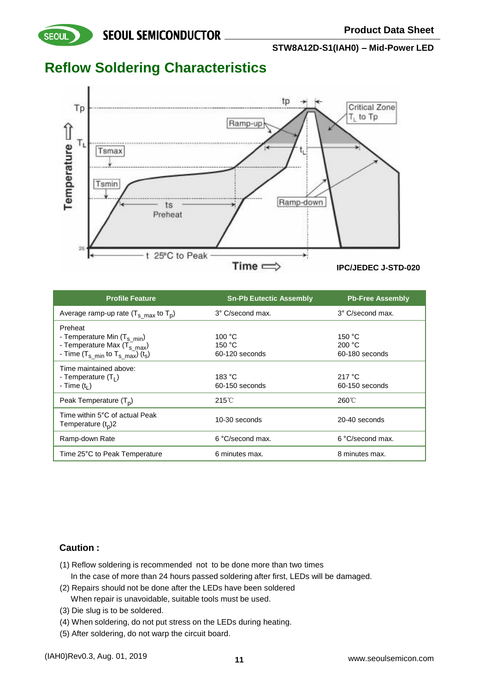### **SEOUL SEMICONDUCTOR**

**STW8A12D-S1(IAH0) – Mid-Power LED**

### **Reflow Soldering Characteristics**

**SEOUL** 



| <b>Profile Feature</b>                                 | <b>Sn-Pb Eutectic Assembly</b> | <b>Pb-Free Assembly</b> |
|--------------------------------------------------------|--------------------------------|-------------------------|
| Average ramp-up rate $(T_{s \ max}$ to $T_{p})$        | 3° C/second max.               | 3° C/second max.        |
| Preheat                                                |                                |                         |
| - Temperature Min $(T_{s\_min})$                       | 100 °C                         | 150 $^{\circ}$ C        |
| - Temperature Max $(\vec{T}_{s max})$                  | 150 °C                         | 200 °C                  |
| - Time $(T_{s min}$ to $T_{s max}$ ) (t <sub>s</sub> ) | 60-120 seconds                 | 60-180 seconds          |
| Time maintained above:                                 |                                |                         |
| - Temperature $(T1)$                                   | 183 °C                         | 217 $\degree$ C         |
| - Time $(t1)$                                          | 60-150 seconds                 | 60-150 seconds          |
| Peak Temperature $(T_p)$                               | $215^{\circ}$ C                | 260°C                   |
| Time within 5°C of actual Peak<br>Temperature $(tn)$ 2 | 10-30 seconds                  | 20-40 seconds           |
| Ramp-down Rate                                         | 6 °C/second max.               | 6 °C/second max.        |
| Time 25°C to Peak Temperature                          | 6 minutes max.                 | 8 minutes max.          |

#### **Caution :**

- (1) Reflow soldering is recommended not to be done more than two times In the case of more than 24 hours passed soldering after first, LEDs will be damaged.
- (2) Repairs should not be done after the LEDs have been soldered When repair is unavoidable, suitable tools must be used.
- (3) Die slug is to be soldered.
- (4) When soldering, do not put stress on the LEDs during heating.
- (5) After soldering, do not warp the circuit board.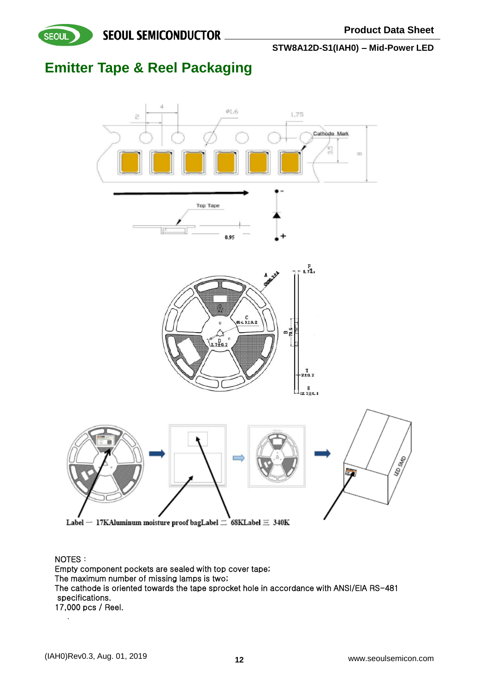

**SEOUL SEMICONDUCTOR** 

**STW8A12D-S1(IAH0) – Mid-Power LED**

## **Emitter Tape & Reel Packaging**



NOTES: Empty component pockets are sealed with top cover tape; The maximum number of missing lamps is two; The cathode is oriented towards the tape sprocket hole in accordance with ANSI/EIA RS-481 specifications. 17,000 pcs / Reel.

.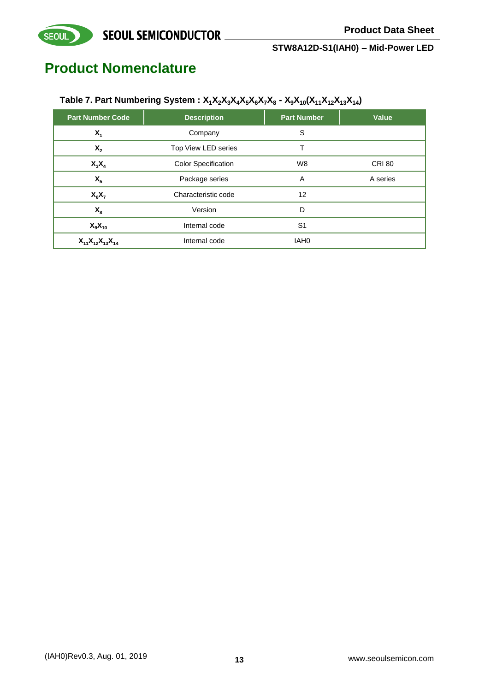## **Product Nomenclature**

SEOUL

#### Table 7. Part Numbering System : X<sub>1</sub>X<sub>2</sub>X<sub>3</sub>X<sub>4</sub>X<sub>5</sub>X<sub>6</sub>X<sub>7</sub>X<sub>8</sub> - X<sub>9</sub>X<sub>10</sub>(X<sub>11</sub>X<sub>12</sub>X<sub>13</sub>X<sub>14</sub>)

| <b>Part Number Code</b>    | <b>Description</b>         | <b>Part Number</b> | Value         |
|----------------------------|----------------------------|--------------------|---------------|
| $X_1$                      | Company                    | S                  |               |
| $X_{2}$                    | Top View LED series        |                    |               |
| $X_3X_4$                   | <b>Color Specification</b> | W8                 | <b>CRI 80</b> |
| $X_{5}$                    | Package series             | A                  | A series      |
| $X_6X_7$                   | Characteristic code        | 12                 |               |
| $X_{8}$                    | Version                    | D                  |               |
| $X_9X_{10}$                | Internal code              | S <sub>1</sub>     |               |
| $X_{11}X_{12}X_{13}X_{14}$ | Internal code              | IAH <sub>0</sub>   |               |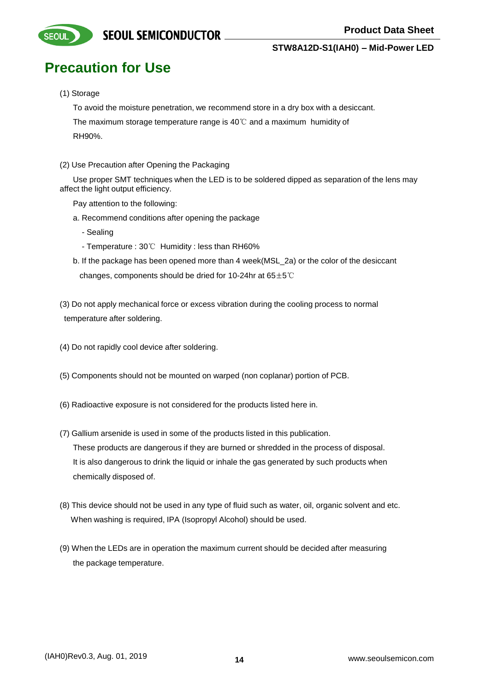## **Precaution for Use**

#### (1) Storage

**SEOUI** 

To avoid the moisture penetration, we recommend store in a dry box with a desiccant.

 The maximum storage temperature range is 40℃ and a maximum humidity of RH90%.

(2) Use Precaution after Opening the Packaging

 Use proper SMT techniques when the LED is to be soldered dipped as separation of the lens may affect the light output efficiency.

Pay attention to the following:

- a. Recommend conditions after opening the package
	- Sealing
	- Temperature : 30℃ Humidity : less than RH60%
- b. If the package has been opened more than 4 week(MSL\_2a) or the color of the desiccant changes, components should be dried for 10-24hr at  $65±5^{\circ}$ C
- (3) Do not apply mechanical force or excess vibration during the cooling process to normal temperature after soldering.
- (4) Do not rapidly cool device after soldering.
- (5) Components should not be mounted on warped (non coplanar) portion of PCB.
- (6) Radioactive exposure is not considered for the products listed here in.
- (7) Gallium arsenide is used in some of the products listed in this publication. These products are dangerous if they are burned or shredded in the process of disposal. It is also dangerous to drink the liquid or inhale the gas generated by such products when chemically disposed of.
- (8) This device should not be used in any type of fluid such as water, oil, organic solvent and etc. When washing is required, IPA (Isopropyl Alcohol) should be used.
- (9) When the LEDs are in operation the maximum current should be decided after measuring the package temperature.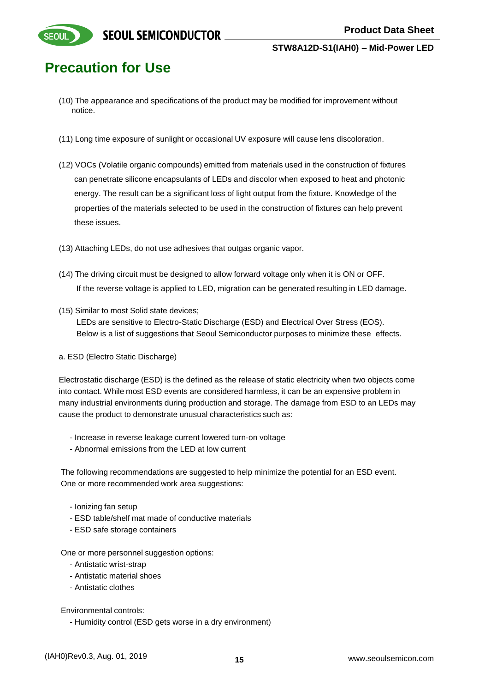

**SEOUI** 

- (10) The appearance and specifications of the product may be modified for improvement without notice.
- (11) Long time exposure of sunlight or occasional UV exposure will cause lens discoloration.
- (12) VOCs (Volatile organic compounds) emitted from materials used in the construction of fixtures can penetrate silicone encapsulants of LEDs and discolor when exposed to heat and photonic energy. The result can be a significant loss of light output from the fixture. Knowledge of the properties of the materials selected to be used in the construction of fixtures can help prevent these issues.
- (13) Attaching LEDs, do not use adhesives that outgas organic vapor.
- (14) The driving circuit must be designed to allow forward voltage only when it is ON or OFF. If the reverse voltage is applied to LED, migration can be generated resulting in LED damage.
- (15) Similar to most Solid state devices;

 LEDs are sensitive to Electro-Static Discharge (ESD) and Electrical Over Stress (EOS). Below is a list of suggestions that Seoul Semiconductor purposes to minimize these effects.

a. ESD (Electro Static Discharge)

Electrostatic discharge (ESD) is the defined as the release of static electricity when two objects come into contact. While most ESD events are considered harmless, it can be an expensive problem in many industrial environments during production and storage. The damage from ESD to an LEDs may cause the product to demonstrate unusual characteristics such as:

- Increase in reverse leakage current lowered turn-on voltage
- Abnormal emissions from the LED at low current

The following recommendations are suggested to help minimize the potential for an ESD event. One or more recommended work area suggestions:

- Ionizing fan setup
- ESD table/shelf mat made of conductive materials
- ESD safe storage containers

One or more personnel suggestion options:

- Antistatic wrist-strap
- Antistatic material shoes
- Antistatic clothes

Environmental controls:

- Humidity control (ESD gets worse in a dry environment)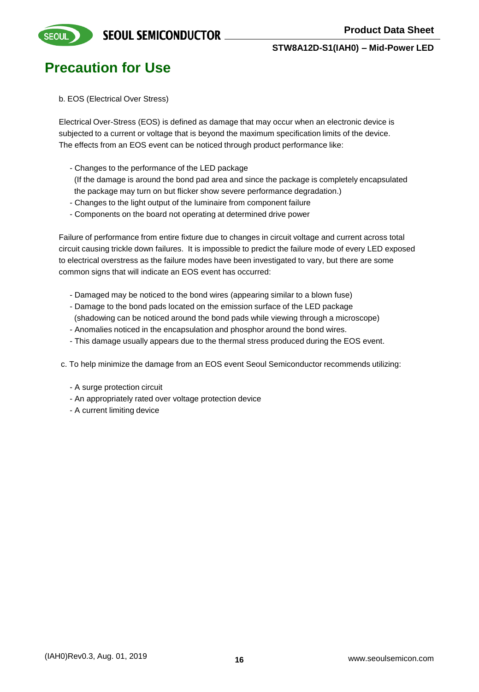

### **Precaution for Use**

b. EOS (Electrical Over Stress)

Electrical Over-Stress (EOS) is defined as damage that may occur when an electronic device is subjected to a current or voltage that is beyond the maximum specification limits of the device. The effects from an EOS event can be noticed through product performance like:

- Changes to the performance of the LED package

 (If the damage is around the bond pad area and since the package is completely encapsulated the package may turn on but flicker show severe performance degradation.)

- Changes to the light output of the luminaire from component failure
- Components on the board not operating at determined drive power

Failure of performance from entire fixture due to changes in circuit voltage and current across total circuit causing trickle down failures. It is impossible to predict the failure mode of every LED exposed to electrical overstress as the failure modes have been investigated to vary, but there are some common signs that will indicate an EOS event has occurred:

- Damaged may be noticed to the bond wires (appearing similar to a blown fuse)
- Damage to the bond pads located on the emission surface of the LED package
- (shadowing can be noticed around the bond pads while viewing through a microscope)
- Anomalies noticed in the encapsulation and phosphor around the bond wires.
- This damage usually appears due to the thermal stress produced during the EOS event.

c. To help minimize the damage from an EOS event Seoul Semiconductor recommends utilizing:

- A surge protection circuit
- An appropriately rated over voltage protection device
- A current limiting device